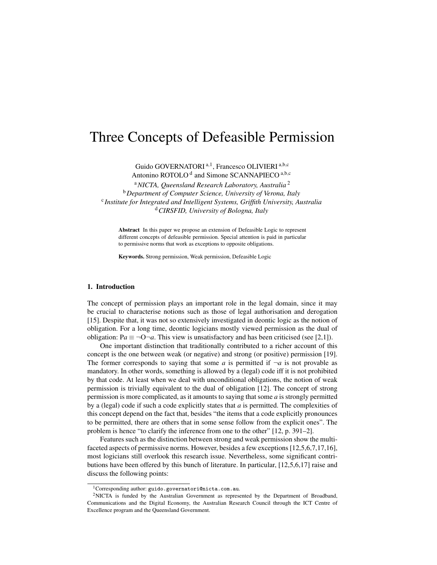# Three Concepts of Defeasible Permission

Guido GOVERNATORI<sup>a, 1</sup>, Francesco OLIVIERI<sup>a, b, c</sup>

Antonino ROTOLO<sup>d</sup> and Simone SCANNAPIECO<sup>a,b,c</sup>

<sup>a</sup>*NICTA, Queensland Research Laboratory, Australia* <sup>2</sup> <sup>b</sup>*Department of Computer Science, University of Verona, Italy* c *Institute for Integrated and Intelligent Systems, Griffith University, Australia* <sup>d</sup>*CIRSFID, University of Bologna, Italy*

Abstract In this paper we propose an extension of Defeasible Logic to represent different concepts of defeasible permission. Special attention is paid in particular to permissive norms that work as exceptions to opposite obligations.

Keywords. Strong permission, Weak permission, Defeasible Logic

# 1. Introduction

The concept of permission plays an important role in the legal domain, since it may be crucial to characterise notions such as those of legal authorisation and derogation [15]. Despite that, it was not so extensively investigated in deontic logic as the notion of obligation. For a long time, deontic logicians mostly viewed permission as the dual of obligation:  $Pa \equiv \neg O \neg a$ . This view is unsatisfactory and has been criticised (see [2,1]).

One important distinction that traditionally contributed to a richer account of this concept is the one between weak (or negative) and strong (or positive) permission [19]. The former corresponds to saying that some *a* is permitted if  $\neg a$  is not provable as mandatory. In other words, something is allowed by a (legal) code iff it is not prohibited by that code. At least when we deal with unconditional obligations, the notion of weak permission is trivially equivalent to the dual of obligation [12]. The concept of strong permission is more complicated, as it amounts to saying that some *a* is strongly permitted by a (legal) code if such a code explicitly states that *a* is permitted. The complexities of this concept depend on the fact that, besides "the items that a code explicitly pronounces to be permitted, there are others that in some sense follow from the explicit ones". The problem is hence "to clarify the inference from one to the other" [12, p. 391–2].

Features such as the distinction between strong and weak permission show the multifaceted aspects of permissive norms. However, besides a few exceptions [12,5,6,7,17,16], most logicians still overlook this research issue. Nevertheless, some significant contributions have been offered by this bunch of literature. In particular, [12,5,6,17] raise and discuss the following points:

 $1$ Corresponding author: guido.governatori@nicta.com.au.

<sup>2</sup>NICTA is funded by the Australian Government as represented by the Department of Broadband, Communications and the Digital Economy, the Australian Research Council through the ICT Centre of Excellence program and the Queensland Government.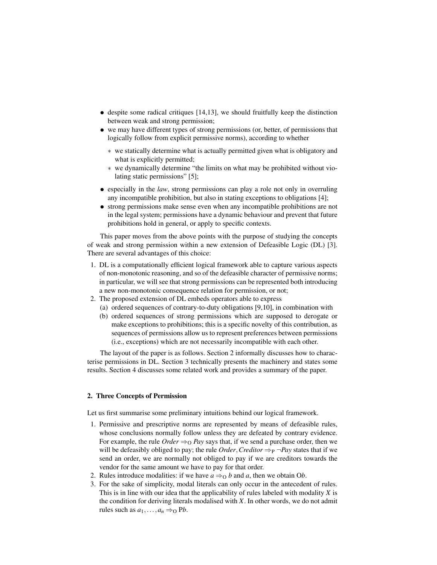- despite some radical critiques [14,13], we should fruitfully keep the distinction between weak and strong permission;
- we may have different types of strong permissions (or, better, of permissions that logically follow from explicit permissive norms), according to whether
	- ∗ we statically determine what is actually permitted given what is obligatory and what is explicitly permitted;
	- ∗ we dynamically determine "the limits on what may be prohibited without violating static permissions" [5];
- especially in the *law*, strong permissions can play a role not only in overruling any incompatible prohibition, but also in stating exceptions to obligations [4];
- strong permissions make sense even when any incompatible prohibitions are not in the legal system; permissions have a dynamic behaviour and prevent that future prohibitions hold in general, or apply to specific contexts.

This paper moves from the above points with the purpose of studying the concepts of weak and strong permission within a new extension of Defeasible Logic (DL) [3]. There are several advantages of this choice:

- 1. DL is a computationally efficient logical framework able to capture various aspects of non-monotonic reasoning, and so of the defeasible character of permissive norms; in particular, we will see that strong permissions can be represented both introducing a new non-monotonic consequence relation for permission, or not;
- 2. The proposed extension of DL embeds operators able to express
	- (a) ordered sequences of contrary-to-duty obligations [9,10], in combination with
	- (b) ordered sequences of strong permissions which are supposed to derogate or make exceptions to prohibitions; this is a specific novelty of this contribution, as sequences of permissions allow us to represent preferences between permissions (i.e., exceptions) which are not necessarily incompatible with each other.

The layout of the paper is as follows. Section 2 informally discusses how to characterise permissions in DL. Section 3 technically presents the machinery and states some results. Section 4 discusses some related work and provides a summary of the paper.

## 2. Three Concepts of Permission

Let us first summarise some preliminary intuitions behind our logical framework.

- 1. Permissive and prescriptive norms are represented by means of defeasible rules, whose conclusions normally follow unless they are defeated by contrary evidence. For example, the rule *Order*  $\Rightarrow$  *O Pay* says that, if we send a purchase order, then we will be defeasibly obliged to pay; the rule *Order*, *Creditor*  $\Rightarrow_{P} \neg Pav$  states that if we send an order, we are normally not obliged to pay if we are creditors towards the vendor for the same amount we have to pay for that order.
- 2. Rules introduce modalities: if we have  $a \Rightarrow_0 b$  and a, then we obtain Ob.
- 3. For the sake of simplicity, modal literals can only occur in the antecedent of rules. This is in line with our idea that the applicability of rules labeled with modality *X* is the condition for deriving literals modalised with *X*. In other words, we do not admit rules such as  $a_1, \ldots, a_n \Rightarrow_{\Omega} Pb$ .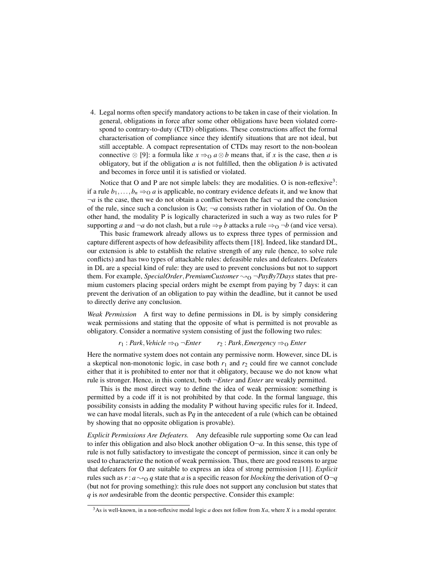4. Legal norms often specify mandatory actions to be taken in case of their violation. In general, obligations in force after some other obligations have been violated correspond to contrary-to-duty (CTD) obligations. These constructions affect the formal characterisation of compliance since they identify situations that are not ideal, but still acceptable. A compact representation of CTDs may resort to the non-boolean connective ⊗ [9]: a formula like  $x \Rightarrow_0 a \otimes b$  means that, if *x* is the case, then *a* is obligatory, but if the obligation  $a$  is not fulfilled, then the obligation  $b$  is activated and becomes in force until it is satisfied or violated.

Notice that O and P are not simple labels: they are modalities. O is non-reflexive<sup>3</sup>: if a rule  $b_1, \ldots, b_n \Rightarrow 0$  *a* is applicable, no contrary evidence defeats it, and we know that  $\neg a$  is the case, then we do not obtain a conflict between the fact  $\neg a$  and the conclusion of the rule, since such a conclusion is O*a*; ¬*a* consists rather in violation of O*a*. On the other hand, the modality P is logically characterized in such a way as two rules for P supporting *a* and  $\neg a$  do not clash, but a rule  $\Rightarrow_P b$  attacks a rule  $\Rightarrow_O \neg b$  (and vice versa).

This basic framework already allows us to express three types of permission and capture different aspects of how defeasibility affects them [18]. Indeed, like standard DL, our extension is able to establish the relative strength of any rule (hence, to solve rule conflicts) and has two types of attackable rules: defeasible rules and defeaters. Defeaters in DL are a special kind of rule: they are used to prevent conclusions but not to support them. For example, *SpecialOrder*, *PremiumCustomer*  $\sim_{\Omega} \neg PayBy7Days$  states that premium customers placing special orders might be exempt from paying by 7 days: it can prevent the derivation of an obligation to pay within the deadline, but it cannot be used to directly derive any conclusion.

*Weak Permission* A first way to define permissions in DL is by simply considering weak permissions and stating that the opposite of what is permitted is not provable as obligatory. Consider a normative system consisting of just the following two rules:

 $r_1$ : *Park*, *Vehicle*  $\Rightarrow$   $\circ$   $\neg$  *Enter*  $r_2$ : *Park*, *Emergency*  $\Rightarrow$   $\circ$  *Enter* 

Here the normative system does not contain any permissive norm. However, since DL is a skeptical non-monotonic logic, in case both  $r_1$  and  $r_2$  could fire we cannot conclude either that it is prohibited to enter nor that it obligatory, because we do not know what rule is stronger. Hence, in this context, both ¬*Enter* and *Enter* are weakly permitted.

This is the most direct way to define the idea of weak permission: something is permitted by a code iff it is not prohibited by that code. In the formal language, this possibility consists in adding the modality P without having specific rules for it. Indeed, we can have modal literals, such as P*q* in the antecedent of a rule (which can be obtained by showing that no opposite obligation is provable).

*Explicit Permissions Are Defeaters.* Any defeasible rule supporting some O*a* can lead to infer this obligation and also block another obligation  $O\neg a$ . In this sense, this type of rule is not fully satisfactory to investigate the concept of permission, since it can only be used to characterize the notion of weak permission. Thus, there are good reasons to argue that defeaters for O are suitable to express an idea of strong permission [11]. *Explicit* rules such as  $r : a \rightarrow o q$  state that *a* is a specific reason for *blocking* the derivation of O $\neg q$ (but not for proving something): this rule does not support any conclusion but states that *q* is *not un*desirable from the deontic perspective. Consider this example:

<sup>3</sup>As is well-known, in a non-reflexive modal logic *a* does not follow from *Xa*, where *X* is a modal operator.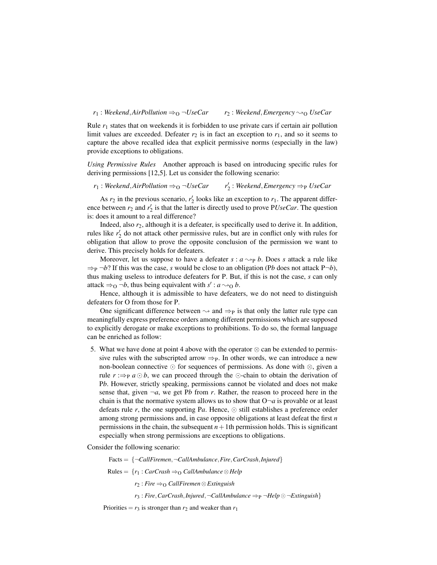#### $r_1$ : *Weekend*,*AirPollution*  $\Rightarrow_Q \neg UseCar$   $r_2$ : *Weekend*, *Emergency*  $\rightarrow_Q$  *UseCar*

Rule *r*<sup>1</sup> states that on weekends it is forbidden to use private cars if certain air pollution limit values are exceeded. Defeater  $r_2$  is in fact an exception to  $r_1$ , and so it seems to capture the above recalled idea that explicit permissive norms (especially in the law) provide exceptions to obligations.

*Using Permissive Rules* Another approach is based on introducing specific rules for deriving permissions [12,5]. Let us consider the following scenario:

 $r_1$ : *Weekend*, *AirPollution*  $\Rightarrow$   $\circ$   $\neg$ *UseCar* 2 : *Weekend*,*Emergency* ⇒<sup>P</sup> *UseCar*

As  $r_2$  in the previous scenario,  $r'_2$  looks like an exception to  $r_1$ . The apparent difference between  $r_2$  and  $r'_2$  is that the latter is directly used to prove PUseCar. The question is: does it amount to a real difference?

Indeed, also *r*2, although it is a defeater, is specifically used to derive it. In addition, rules like  $r'_2$  do not attack other permissive rules, but are in conflict only with rules for obligation that allow to prove the opposite conclusion of the permission we want to derive. This precisely holds for defeaters.

Moreover, let us suppose to have a defeater  $s : a \rightarrow p b$ . Does *s* attack a rule like  $\Rightarrow$   $p \rightarrow b$ ? If this was the case, *s* would be close to an obligation (Pb does not attack P $\neg b$ ), thus making useless to introduce defeaters for P. But, if this is not the case, *s* can only attack  $\Rightarrow$  0  $\neg b$ , thus being equivalent with *s'* : *a*  $\rightarrow$  0 *b*.

Hence, although it is admissible to have defeaters, we do not need to distinguish defeaters for O from those for P.

One significant difference between  $\sim$  and  $\Rightarrow$  is that only the latter rule type can meaningfully express preference orders among different permissions which are supposed to explicitly derogate or make exceptions to prohibitions. To do so, the formal language can be enriched as follow:

5. What we have done at point 4 above with the operator  $\otimes$  can be extended to permissive rules with the subscripted arrow  $\Rightarrow_{P}$ . In other words, we can introduce a new non-boolean connective  $\odot$  for sequences of permissions. As done with  $\otimes$ , given a rule  $r \implies p \ a \odot b$ , we can proceed through the  $\odot$ -chain to obtain the derivation of P*b*. However, strictly speaking, permissions cannot be violated and does not make sense that, given  $\neg a$ , we get Pb from *r*. Rather, the reason to proceed here in the chain is that the normative system allows us to show that  $O\neg a$  is provable or at least defeats rule r, the one supporting  $Pa$ . Hence,  $\odot$  still establishes a preference order among strong permissions and, in case opposite obligations at least defeat the first *n* permissions in the chain, the subsequent  $n+1$ th permission holds. This is significant especially when strong permissions are exceptions to obligations.

Consider the following scenario:

Facts = {¬*CallFiremen*,¬*CallAmbulance*,*Fire*,*CarCrash*,*Injured*}

 $Rules = {r_1 : CarCrash \Rightarrow_0 CallAmbulance \otimes Help}$ 

*r*<sub>2</sub> : *Fire* ⇒<sub>O</sub> *CallFiremen* ⊗ *Extinguish* 

 $r_3$ : *Fire*, *CarCrash*, *Injured*,  $\neg$ *CallAmbulance*  $\Rightarrow$   $\varphi$   $\neg$ *Help*  $\odot$   $\neg$ *Extinguish*}

Priorities =  $r_3$  is stronger than  $r_2$  and weaker than  $r_1$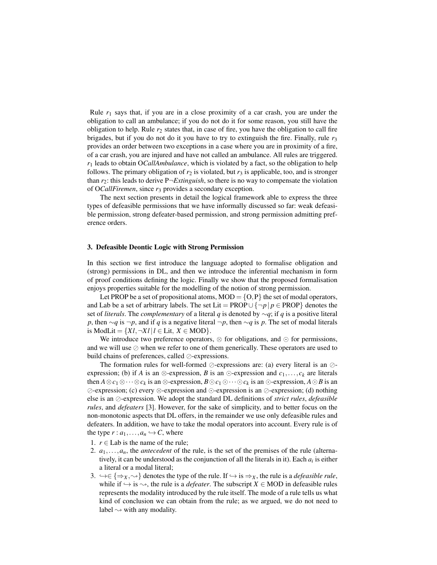Rule  $r_1$  says that, if you are in a close proximity of a car crash, you are under the obligation to call an ambulance; if you do not do it for some reason, you still have the obligation to help. Rule  $r<sub>2</sub>$  states that, in case of fire, you have the obligation to call fire brigades, but if you do not do it you have to try to extinguish the fire. Finally, rule  $r_3$ provides an order between two exceptions in a case where you are in proximity of a fire, of a car crash, you are injured and have not called an ambulance. All rules are triggered. *r*<sup>1</sup> leads to obtain O*CallAmbulance*, which is violated by a fact, so the obligation to help follows. The primary obligation of  $r_2$  is violated, but  $r_3$  is applicable, too, and is stronger than *r*2: this leads to derive P¬*Extinguish*, so there is no way to compensate the violation of O*CallFiremen*, since *r*<sup>3</sup> provides a secondary exception.

The next section presents in detail the logical framework able to express the three types of defeasible permissions that we have informally discussed so far: weak defeasible permission, strong defeater-based permission, and strong permission admitting preference orders.

## 3. Defeasible Deontic Logic with Strong Permission

In this section we first introduce the language adopted to formalise obligation and (strong) permissions in DL, and then we introduce the inferential mechanism in form of proof conditions defining the logic. Finally we show that the proposed formalisation enjoys properties suitable for the modelling of the notion of strong permission.

Let PROP be a set of propositional atoms,  $MOD = \{O, P\}$  the set of modal operators, and Lab be a set of arbitrary labels. The set Lit = PROP $\cup \{\neg p | p \in \text{PROP}\}\$  denotes the set of *literals*. The *complementary* of a literal *q* is denoted by ∼*q*; if *q* is a positive literal *p*, then  $\sim q$  is  $\neg p$ , and if *q* is a negative literal  $\neg p$ , then  $\sim q$  is *p*. The set of modal literals is ModLit =  $\{Xl, \neg Xl \mid l \in \text{Lit}, X \in \text{MOD}\}.$ 

We introduce two preference operators,  $\otimes$  for obligations, and  $\odot$  for permissions, and we will use  $\oslash$  when we refer to one of them generically. These operators are used to build chains of preferences, called  $\oslash$ -expressions.

The formation rules for well-formed  $\oslash$ -expressions are: (a) every literal is an  $\oslash$ expression; (b) if *A* is an  $\otimes$ -expression, *B* is an  $\odot$ -expression and *c*<sub>1</sub>,..., *c*<sub>*k*</sub> are literals then  $A \otimes c_1 \otimes \cdots \otimes c_k$  is an  $\otimes$ -expression,  $B \odot c_1 \odot \cdots \odot c_k$  is an  $\odot$ -expression,  $A \odot B$  is an ⊘-expression; (c) every ⊗-expression and ⊙-expression is an ⊘-expression; (d) nothing else is an  $\oslash$ -expression. We adopt the standard DL definitions of *strict rules*, *defeasible rules*, and *defeaters* [3]. However, for the sake of simplicity, and to better focus on the non-monotonic aspects that DL offers, in the remainder we use only defeasible rules and defeaters. In addition, we have to take the modal operators into account. Every rule is of the type  $r : a_1, \ldots, a_n \hookrightarrow C$ , where

- 1.  $r \in$  Lab is the name of the rule;
- 2.  $a_1, \ldots, a_n$ , the *antecedent* of the rule, is the set of the premises of the rule (alternatively, it can be understood as the conjunction of all the literals in it). Each  $a_i$  is either a literal or a modal literal;
- 3.  $\rightarrow \in \{\Rightarrow_X, \rightsquigarrow\}$  denotes the type of the rule. If  $\hookrightarrow$  is  $\Rightarrow_X$ , the rule is a *defeasible rule*, while if  $\hookrightarrow$  is  $\rightsquigarrow$ , the rule is a *defeater*. The subscript *X*  $\in$  MOD in defeasible rules represents the modality introduced by the rule itself. The mode of a rule tells us what kind of conclusion we can obtain from the rule; as we argued, we do not need to label  $\rightsquigarrow$  with any modality.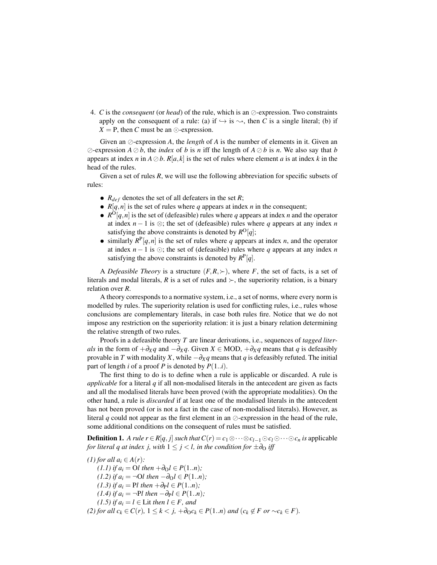4. *C* is the *consequent* (or *head*) of the rule, which is an  $\oslash$ -expression. Two constraints apply on the consequent of a rule: (a) if  $\hookrightarrow$  is  $\rightsquigarrow$ , then *C* is a single literal; (b) if  $X = P$ , then *C* must be an  $\odot$ -expression.

Given an  $\oslash$ -expression *A*, the *length* of *A* is the number of elements in it. Given an  $\oslash$ -expression  $A \oslash b$ , the *index* of *b* is *n* iff the length of  $A \oslash b$  is *n*. We also say that *b* appears at index *n* in  $A \oslash b$ .  $R[a, k]$  is the set of rules where element *a* is at index *k* in the head of the rules.

Given a set of rules *R*, we will use the following abbreviation for specific subsets of rules:

- $R_{def}$  denotes the set of all defeaters in the set  $R$ ;
- $R[q, n]$  is the set of rules where *q* appears at index *n* in the consequent;
- $R^{O}[q,n]$  is the set of (defeasible) rules where *q* appears at index *n* and the operator at index  $n - 1$  is  $\otimes$ ; the set of (defeasible) rules where *q* appears at any index *n* satisfying the above constraints is denoted by  $R^O[q]$ ;
- $\bullet$  similarly  $R^{\text{P}}[q,n]$  is the set of rules where *q* appears at index *n*, and the operator at index  $n-1$  is  $\odot$ ; the set of (defeasible) rules where *q* appears at any index *n* satisfying the above constraints is denoted by  $R^P[q]$ .

A *Defeasible Theory* is a structure  $(F, R, \succ)$ , where *F*, the set of facts, is a set of literals and modal literals, R is a set of rules and  $\succ$ , the superiority relation, is a binary relation over *R*.

A theory corresponds to a normative system, i.e., a set of norms, where every norm is modelled by rules. The superiority relation is used for conflicting rules, i.e., rules whose conclusions are complementary literals, in case both rules fire. Notice that we do not impose any restriction on the superiority relation: it is just a binary relation determining the relative strength of two rules.

Proofs in a defeasible theory *T* are linear derivations, i.e., sequences of *tagged literals* in the form of  $+\partial_X q$  and  $-\partial_X q$ . Given *X* ∈ MOD,  $+\partial_X q$  means that *q* is defeasibly provable in *T* with modality *X*, while  $-\partial_X q$  means that *q* is defeasibly refuted. The initial part of length *i* of a proof *P* is denoted by  $P(1..i)$ .

The first thing to do is to define when a rule is applicable or discarded. A rule is *applicable* for a literal *q* if all non-modalised literals in the antecedent are given as facts and all the modalised literals have been proved (with the appropriate modalities). On the other hand, a rule is *discarded* if at least one of the modalised literals in the antecedent has not been proved (or is not a fact in the case of non-modalised literals). However, as literal q could not appear as the first element in an  $\oslash$ -expression in the head of the rule, some additional conditions on the consequent of rules must be satisfied.

**Definition 1.** A rule  $r \in R[q, j]$  such that  $C(r) = c_1 \otimes \cdots \otimes c_{l-1} \odot c_l \odot \cdots \odot c_n$  is applicable *for literal q at index j, with*  $1 \leq j < l$ *, in the condition for*  $\pm \partial_0$  *iff* 

*(1) for all*  $a_i \in A(r)$ *:* 

*(1.1) if*  $a_i$  = O*l then* +∂<sub>O</sub>*l* ∈ *P*(1*..n*)*; (1.2)* if  $a_i$  = ¬O*l* then  $-\partial_0 l$  ∈  $P(1..n)$ ; *(1.3) if*  $a_i$  = P*l then* +∂<sub>P</sub> $l$  ∈  $P(1..n)$ *; (1.4) if*  $a_i$  = ¬P*l then* −∂<sub>P</sub> $l$  ∈  $P(1..n)$ *; (1.5) if*  $a_i = l \in$  Lit *then*  $l \in F$ *, and (2) for all c<sub>k</sub>* ∈ *C*(*r*)*,* 1 ≤ *k* < *j,* +∂<sub>O</sub>*c*<sub>*k*</sub> ∈ *P*(1.*n*) *and* (*c<sub>k</sub>* ∉ *F or* ∼*c<sub>k</sub>* ∈ *F*).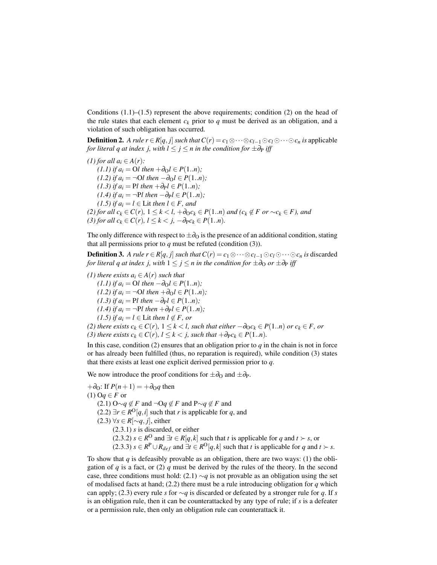Conditions  $(1.1)$ – $(1.5)$  represent the above requirements; condition  $(2)$  on the head of the rule states that each element  $c_k$  prior to  $q$  must be derived as an obligation, and a violation of such obligation has occurred.

**Definition 2.** A rule  $r \in R[q, j]$  such that  $C(r) = c_1 \otimes \cdots \otimes c_{l-1} \odot c_l \odot \cdots \odot c_n$  is applicable *for literal q at index j, with*  $l \leq j \leq n$  *in the condition for*  $\pm \partial_P$  *iff* 

*(1) for all*  $a_i \in A(r)$ *:*  $(1.1)$  *if a<sub>i</sub>* = O*l then* +∂<sub>O</sub>*l* ∈ *P*(1.*n*)*; (1.2) if*  $a_i$  = ¬O*l then* −∂<sub>O</sub>*l* ∈ *P*(1.*n*)*; (1.3) if*  $a_i = \text{Pl}$  *then*  $+ \partial_{\text{P}} l \in P(1..n)$ *; (1.4)* if  $a_i$  = ¬P*l* then  $-\partial P$ *l* ∈ *P*(1.*n*)*; (1.5) if*  $a_i$  = *l* ∈ Lit *then l* ∈ *F, and (2) for all c<sub>k</sub>* ∈ *C*(*r*)*,* 1 ≤ *k* < *l,* +∂<sub>*O</sub>c<sub>k</sub>* ∈ *P*(1..*n*) *and* (*c<sub>k</sub>* ∉ *F or* ∼*c<sub>k</sub>* ∈ *F*)*, and*</sub> *(3) for all c<sub><i>k*</sub> ∈ *C*(*r*)*,*  $l \leq k < j$ *,* −∂<sub>*P</sub>c<sub><i>k*</sub> ∈ *P*(1..*n*)*.*</sub>

The only difference with respect to  $\pm \partial_{\Omega}$  is the presence of an additional condition, stating that all permissions prior to  $q$  must be refuted (condition  $(3)$ ).

**Definition 3.** A rule  $r \in R[q, j]$  such that  $C(r) = c_1 \otimes \cdots \otimes c_{l-1} \odot c_l \odot \cdots \odot c_n$  is discarded *for literal q at index j, with*  $1 \leq j \leq n$  *in the condition for*  $\pm \partial_0$  *or*  $\pm \partial_p$  *iff* 

*(1)* there exists  $a_i$  ∈  $A(r)$  *such that (1.1) if*  $a_i$  = O*l then* −∂<sub>O</sub> $l$  ∈  $P(1..n)$ *; (1.2) if*  $a_i$  = ¬O*l* then + $\partial_0 l$  ∈  $P(1..n)$ ; *(1.3) if*  $a_i$  = P*l then* −∂<sub>P</sub> $l$  ∈  $P(1..n)$ *; (1.4) if*  $a_i$  = ¬P*l then* +∂<sub>P</sub>*l* ∈ *P*(1.*n*)*; (1.5) if*  $a_i = l$  ∈ Lit *then*  $l \notin F$ *, or (2) there exists*  $c_k$  ∈  $C(r)$ *,*  $1 \leq k$  < *l, such that either*  $-\partial_0 c_k$  ∈ *P*(1.*n*) *or*  $c_k$  ∈ *F, or (3) there exists*  $c_k$  ∈  $C(r)$ *,*  $l \leq k$  < *j, such that* + $\partial_P c_k$  ∈  $P(1..n)$ *.* 

In this case, condition  $(2)$  ensures that an obligation prior to  $q$  in the chain is not in force or has already been fulfilled (thus, no reparation is required), while condition (3) states that there exists at least one explicit derived permission prior to *q*.

We now introduce the proof conditions for  $\pm \partial_0$  and  $\pm \partial_{\rm P}$ .

 $+\partial_{\Omega}$ : If  $P(n+1) = +\partial_{\Omega}q$  then  $(1)$  Oq  $\in$  *F* or (2.1) O∼*q* ∉ *F* and ¬O*q* ∉ *F* and P∼*q* ∉ *F* and (2.2) ∃*r* ∈  $R^O[q, i]$  such that *r* is applicable for *q*, and (2.3)  $\forall s \in R[\sim q, j]$ , either (2.3.1) *s* is discarded, or either (2.3.2) *s* ∈  $R^O$  and  $\exists t$  ∈  $R[q, k]$  such that *t* is applicable for *q* and *t*  $\succ$  *s*, or (2.3.3)  $s \in R^P \cup R_{def}$  and  $\exists t \in R^O[q, k]$  such that *t* is applicable for *q* and  $t \succ s$ .

To show that  $q$  is defeasibly provable as an obligation, there are two ways: (1) the obligation of *q* is a fact, or (2) *q* must be derived by the rules of the theory. In the second case, three conditions must hold:  $(2.1) \sim q$  is not provable as an obligation using the set of modalised facts at hand; (2.2) there must be a rule introducing obligation for *q* which can apply; (2.3) every rule *s* for ∼*q* is discarded or defeated by a stronger rule for *q*. If *s* is an obligation rule, then it can be counterattacked by any type of rule; if *s* is a defeater or a permission rule, then only an obligation rule can counterattack it.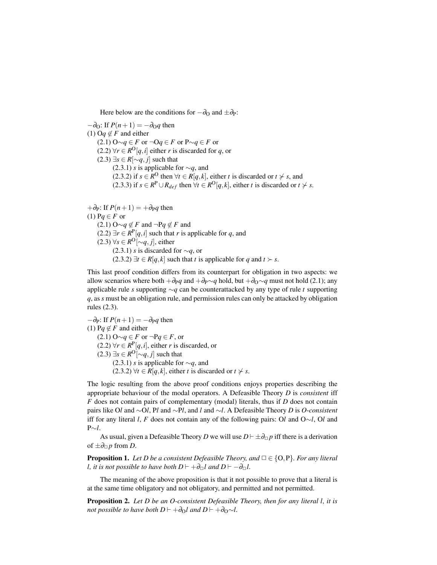Here below are the conditions for  $-\partial_{\Omega}$  and  $\pm \partial_{P}$ :

 $-\partial_{\Omega}$ : If  $P(n+1) = -\partial_{\Omega}q$  then  $(1)$  Oq  $\notin$  *F* and either (2.1) O∼*q* ∈ *F* or ¬O*q* ∈ *F* or P∼*q* ∈ *F* or (2.2) ∀*r* ∈  $R^O[q, i]$  either *r* is discarded for *q*, or (2.3)  $\exists s \in R[\sim q, j]$  such that (2.3.1) *s* is applicable for ∼*q*, and (2.3.2) if  $s \in R^{\text{O}}$  then  $\forall t \in R[q, k]$ , either *t* is discarded or  $t \nsucc s$ , and (2.3.3) if  $s \in \mathbb{R}^P \cup \mathbb{R}_{def}$  then  $\forall t \in \mathbb{R}^O[q, k]$ , either *t* is discarded or  $t \neq s$ .

 $+\partial_P$ : If  $P(n+1) = +\partial_P q$  then (1)  $Pq \in F$  or  $(2.1)$  O∼*q* ∉ *F* and ¬P*q* ∉ *F* and (2.2)  $\exists r \in R^P[q, i]$  such that *r* is applicable for *q*, and (2.3)  $\forall s \in R^{\text{O}}[\sim q, j]$ , either (2.3.1) *s* is discarded for ∼*q*, or (2.3.2)  $\exists t \in R[q, k]$  such that *t* is applicable for *q* and  $t \succ s$ .

This last proof condition differs from its counterpart for obligation in two aspects: we allow scenarios where both  $+\partial_{P}q$  and  $+\partial_{P} \sim q$  hold, but  $+\partial_{Q} \sim q$  must not hold (2.1); any applicable rule *s* supporting ∼*q* can be counterattacked by any type of rule *t* supporting *q*, as *s* must be an obligation rule, and permission rules can only be attacked by obligation rules (2.3).

 $-\partial_P$ : If  $P(n+1) = -\partial_P q$  then (1) Pq  $\notin$  *F* and either (2.1) O∼*q* ∈ *F* or ¬P*q* ∈ *F*, or (2.2) ∀*r* ∈  $R^P[q, i]$ , either *r* is discarded, or (2.3)  $\exists s \in R^{\mathcal{O}}[\sim q, j]$  such that (2.3.1) *s* is applicable for ∼*q*, and  $(2.3.2) \forall t \in R[q, k]$ , either *t* is discarded or  $t \not\succ s$ .

The logic resulting from the above proof conditions enjoys properties describing the appropriate behaviour of the modal operators. A Defeasible Theory *D* is *consistent* iff *F* does not contain pairs of complementary (modal) literals, thus if *D* does not contain pairs like O*l* and ∼O*l*, P*l* and ∼P*l*, and *l* and ∼*l*. A Defeasible Theory *D* is *O*-*consistent* iff for any literal *l*, *F* does not contain any of the following pairs: O*l* and O∼*l*, O*l* and P∼*l*.

As usual, given a Defeasible Theory *D* we will use  $D \vdash \pm \partial_{\Box} p$  iff there is a derivation of  $\pm\partial_{\square}p$  from *D*.

**Proposition 1.** *Let D be a consistent Defeasible Theory, and*  $\Box \in \{O, P\}$ *. For any literal l, it is not possible to have both*  $D \vdash +\partial_{\Box} l$  *and*  $D \vdash -\partial_{\Box} l$ *.* 

The meaning of the above proposition is that it not possible to prove that a literal is at the same time obligatory and not obligatory, and permitted and not permitted.

Proposition 2. *Let D be an O-consistent Defeasible Theory, then for any literal l, it is not possible to have both*  $D \vdash +\partial_{\Omega}l$  *and*  $D \vdash +\partial_{\Omega} \sim l$ .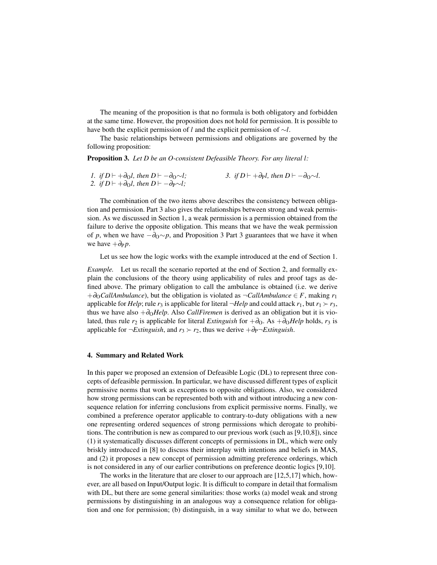The meaning of the proposition is that no formula is both obligatory and forbidden at the same time. However, the proposition does not hold for permission. It is possible to have both the explicit permission of *l* and the explicit permission of ∼*l*.

The basic relationships between permissions and obligations are governed by the following proposition:

Proposition 3. *Let D be an O-consistent Defeasible Theory. For any literal l:*

*1. if*  $D \vdash +\partial_O l$ , then  $D \vdash -\partial_O \sim l$ ; 2. *if*  $D \vdash +\partial_O l$ , then  $D \vdash -\partial_P \sim l$ ; *3. if*  $D$   $\vdash$  + $\partial_{P}l$ *, then*  $D$   $\vdash$   $-\partial_{O} \sim l$ *.* 

The combination of the two items above describes the consistency between obligation and permission. Part 3 also gives the relationships between strong and weak permission. As we discussed in Section 1, a weak permission is a permission obtained from the failure to derive the opposite obligation. This means that we have the weak permission of *p*, when we have  $-\partial_{\Omega} \sim p$ , and Proposition 3 Part 3 guarantees that we have it when we have  $+\partial_{P} p$ .

Let us see how the logic works with the example introduced at the end of Section 1.

*Example.* Let us recall the scenario reported at the end of Section 2, and formally explain the conclusions of the theory using applicability of rules and proof tags as defined above. The primary obligation to call the ambulance is obtained (i.e. we derive +∂O*CallAmbulance*), but the obligation is violated as ¬*CallAmbulance* ∈ *F*, making *r*<sup>1</sup> applicable for *Help*; rule  $r_3$  is applicable for literal  $\neg$ *Help* and could attack  $r_1$ , but  $r_1 \succ r_3$ , thus we have also +∂O*Help*. Also *CallFiremen* is derived as an obligation but it is violated, thus rule  $r_2$  is applicable for literal *Extinguish* for  $+\partial_{\Omega}$ . As  $+\partial_{\Omega}$ *Help* holds,  $r_3$  is applicable for  $\neg Extinguish$ , and  $r_3 \succ r_2$ , thus we derive  $+\partial_P\neg Extinguish$ .

#### 4. Summary and Related Work

In this paper we proposed an extension of Defeasible Logic (DL) to represent three concepts of defeasible permission. In particular, we have discussed different types of explicit permissive norms that work as exceptions to opposite obligations. Also, we considered how strong permissions can be represented both with and without introducing a new consequence relation for inferring conclusions from explicit permissive norms. Finally, we combined a preference operator applicable to contrary-to-duty obligations with a new one representing ordered sequences of strong permissions which derogate to prohibitions. The contribution is new as compared to our previous work (such as [9,10,8]), since (1) it systematically discusses different concepts of permissions in DL, which were only briskly introduced in [8] to discuss their interplay with intentions and beliefs in MAS, and (2) it proposes a new concept of permission admitting preference orderings, which is not considered in any of our earlier contributions on preference deontic logics [9,10].

The works in the literature that are closer to our approach are [12,5,17] which, however, are all based on Input/Output logic. It is difficult to compare in detail that formalism with DL, but there are some general similarities: those works (a) model weak and strong permissions by distinguishing in an analogous way a consequence relation for obligation and one for permission; (b) distinguish, in a way similar to what we do, between